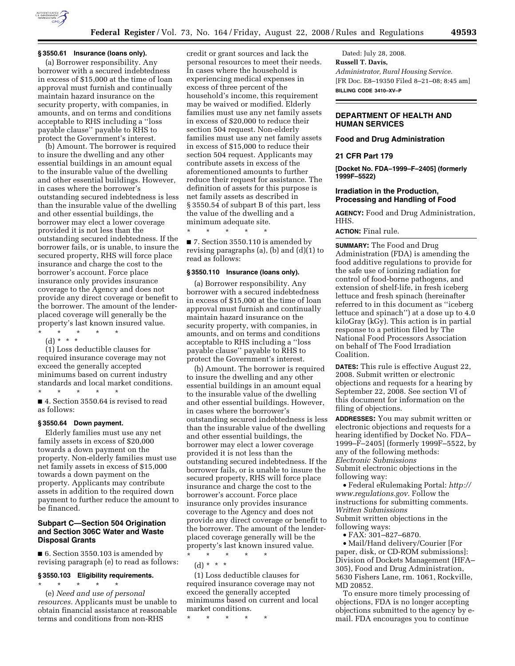

## **§ 3550.61 Insurance (loans only).**

(a) Borrower responsibility. Any borrower with a secured indebtedness in excess of \$15,000 at the time of loan approval must furnish and continually maintain hazard insurance on the security property, with companies, in amounts, and on terms and conditions acceptable to RHS including a ''loss payable clause'' payable to RHS to protect the Government's interest.

(b) Amount. The borrower is required to insure the dwelling and any other essential buildings in an amount equal to the insurable value of the dwelling and other essential buildings. However, in cases where the borrower's outstanding secured indebtedness is less than the insurable value of the dwelling and other essential buildings, the borrower may elect a lower coverage provided it is not less than the outstanding secured indebtedness. If the borrower fails, or is unable, to insure the secured property, RHS will force place insurance and charge the cost to the borrower's account. Force place insurance only provides insurance coverage to the Agency and does not provide any direct coverage or benefit to the borrower. The amount of the lenderplaced coverage will generally be the property's last known insured value. \* \* \* \* \*

(d) \* \* \*

(1) Loss deductible clauses for required insurance coverage may not exceed the generally accepted minimums based on current industry standards and local market conditions.

\* \* \* \* \* ■ 4. Section 3550.64 is revised to read as follows:

#### **§ 3550.64 Down payment.**

Elderly families must use any net family assets in excess of \$20,000 towards a down payment on the property. Non-elderly families must use net family assets in excess of \$15,000 towards a down payment on the property. Applicants may contribute assets in addition to the required down payment to further reduce the amount to be financed.

## **Subpart C—Section 504 Origination and Section 306C Water and Waste Disposal Grants**

■ 6. Section 3550.103 is amended by revising paragraph (e) to read as follows:

## **§ 3550.103 Eligibility requirements.**  \* \* \* \* \*

(e) *Need and use of personal resources.* Applicants must be unable to obtain financial assistance at reasonable terms and conditions from non-RHS

credit or grant sources and lack the personal resources to meet their needs. In cases where the household is experiencing medical expenses in excess of three percent of the household's income, this requirement may be waived or modified. Elderly families must use any net family assets in excess of \$20,000 to reduce their section 504 request. Non-elderly families must use any net family assets in excess of \$15,000 to reduce their section 504 request. Applicants may contribute assets in excess of the aforementioned amounts to further reduce their request for assistance. The definition of assets for this purpose is net family assets as described in § 3550.54 of subpart B of this part, less the value of the dwelling and a minimum adequate site. \* \* \* \* \*

■ 7. Section 3550.110 is amended by revising paragraphs (a), (b) and (d)(1) to read as follows:

# **§ 3550.110 Insurance (loans only).**

(a) Borrower responsibility. Any borrower with a secured indebtedness in excess of \$15,000 at the time of loan approval must furnish and continually maintain hazard insurance on the security property, with companies, in amounts, and on terms and conditions acceptable to RHS including a ''loss payable clause'' payable to RHS to protect the Government's interest.

(b) Amount. The borrower is required to insure the dwelling and any other essential buildings in an amount equal to the insurable value of the dwelling and other essential buildings. However, in cases where the borrower's outstanding secured indebtedness is less than the insurable value of the dwelling and other essential buildings, the borrower may elect a lower coverage provided it is not less than the outstanding secured indebtedness. If the borrower fails, or is unable to insure the secured property, RHS will force place insurance and charge the cost to the borrower's account. Force place insurance only provides insurance coverage to the Agency and does not provide any direct coverage or benefit to the borrower. The amount of the lenderplaced coverage generally will be the property's last known insured value. \* \* \* \* \*

(d) \* \* \*

(1) Loss deductible clauses for required insurance coverage may not exceed the generally accepted minimums based on current and local market conditions.

\* \* \* \* \*

Dated: July 28, 2008. **Russell T. Davis,**  *Administrator, Rural Housing Service.*  [FR Doc. E8–19350 Filed 8–21–08; 8:45 am] **BILLING CODE 3410–XV–P** 

# **DEPARTMENT OF HEALTH AND HUMAN SERVICES**

## **Food and Drug Administration**

## **21 CFR Part 179**

**[Docket No. FDA–1999–F–2405] (formerly 1999F–5522)** 

## **Irradiation in the Production, Processing and Handling of Food**

**AGENCY:** Food and Drug Administration, HHS.

## **ACTION:** Final rule.

**SUMMARY:** The Food and Drug Administration (FDA) is amending the food additive regulations to provide for the safe use of ionizing radiation for control of food-borne pathogens, and extension of shelf-life, in fresh iceberg lettuce and fresh spinach (hereinafter referred to in this document as ''iceberg lettuce and spinach'') at a dose up to 4.0 kiloGray (kGy). This action is in partial response to a petition filed by The National Food Processors Association on behalf of The Food Irradiation Coalition.

**DATES:** This rule is effective August 22, 2008. Submit written or electronic objections and requests for a hearing by September 22, 2008. See section VI of this document for information on the filing of objections.

**ADDRESSES:** You may submit written or electronic objections and requests for a hearing identified by Docket No. FDA– 1999–F–2405] (formerly 1999F–5522, by any of the following methods: *Electronic Submissions*  Submit electronic objections in the following way:

• Federal eRulemaking Portal: *http:// www.regulations.gov*. Follow the instructions for submitting comments. *Written Submissions*  Submit written objections in the

following ways:

• FAX: 301–827–6870.

• Mail/Hand delivery/Courier [For paper, disk, or CD-ROM submissions]: Division of Dockets Management (HFA– 305), Food and Drug Administration, 5630 Fishers Lane, rm. 1061, Rockville, MD 20852.

To ensure more timely processing of objections, FDA is no longer accepting objections submitted to the agency by email. FDA encourages you to continue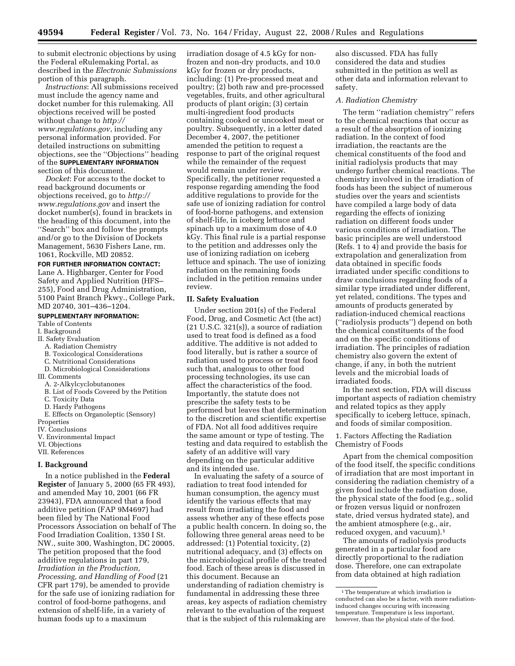to submit electronic objections by using the Federal eRulemaking Portal, as described in the *Electronic Submissions*  portion of this paragraph.

*Instructions*: All submissions received must include the agency name and docket number for this rulemaking. All objections received will be posted without change to *http:// www.regulations.gov*, including any personal information provided. For detailed instructions on submitting objections, see the ''Objections'' heading of the **SUPPLEMENTARY INFORMATION** section of this document.

*Docket*: For access to the docket to read background documents or objections received, go to *http:// www.regulations.gov* and insert the docket number(s), found in brackets in the heading of this document, into the ''Search'' box and follow the prompts and/or go to the Division of Dockets Management, 5630 Fishers Lane, rm. 1061, Rockville, MD 20852.

**FOR FURTHER INFORMATION CONTACT:** 

Lane A. Highbarger, Center for Food Safety and Applied Nutrition (HFS– 255), Food and Drug Administration, 5100 Paint Branch Pkwy., College Park, MD 20740, 301–436–1204.

#### **SUPPLEMENTARY INFORMATION:**

#### Table of Contents

- I. Background
- II. Safety Evaluation
	- A. Radiation Chemistry
	- B. Toxicological Considerations
	- C. Nutritional Considerations
	- D. Microbiological Considerations
- III. Comments
	- A. 2-Alkylcyclobutanones
	- B. List of Foods Covered by the Petition
	- C. Toxicity Data
	- D. Hardy Pathogens
- E. Effects on Organoleptic (Sensory)
- **Properties**
- IV. Conclusions V. Environmental Impact
- VI. Objections
- VII. References

#### **I. Background**

In a notice published in the **Federal Register** of January 5, 2000 (65 FR 493), and amended May 10, 2001 (66 FR 23943), FDA announced that a food additive petition (FAP 9M4697) had been filed by The National Food Processors Association on behalf of The Food Irradiation Coalition, 1350 I St. NW., suite 300, Washington, DC 20005. The petition proposed that the food additive regulations in part 179, *Irradiation in the Production, Processing, and Handling of Food* (21 CFR part 179), be amended to provide for the safe use of ionizing radiation for control of food-borne pathogens, and extension of shelf-life, in a variety of human foods up to a maximum

irradiation dosage of 4.5 kGy for nonfrozen and non-dry products, and 10.0 kGy for frozen or dry products, including: (1) Pre-processed meat and poultry; (2) both raw and pre-processed vegetables, fruits, and other agricultural products of plant origin; (3) certain multi-ingredient food products containing cooked or uncooked meat or poultry. Subsequently, in a letter dated December 4, 2007, the petitioner amended the petition to request a response to part of the original request while the remainder of the request would remain under review. Specifically, the petitioner requested a response regarding amending the food additive regulations to provide for the safe use of ionizing radiation for control of food-borne pathogens, and extension of shelf-life, in iceberg lettuce and spinach up to a maximum dose of 4.0 kGy. This final rule is a partial response to the petition and addresses only the use of ionizing radiation on iceberg lettuce and spinach. The use of ionizing radiation on the remaining foods included in the petition remains under review.

#### **II. Safety Evaluation**

Under section 201(s) of the Federal Food, Drug, and Cosmetic Act (the act)  $(21 \text{ U.S.C. } 321 \text{ s})$ , a source of radiation used to treat food is defined as a food additive. The additive is not added to food literally, but is rather a source of radiation used to process or treat food such that, analogous to other food processing technologies, its use can affect the characteristics of the food. Importantly, the statute does not prescribe the safety tests to be performed but leaves that determination to the discretion and scientific expertise of FDA. Not all food additives require the same amount or type of testing. The testing and data required to establish the safety of an additive will vary depending on the particular additive and its intended use.

In evaluating the safety of a source of radiation to treat food intended for human consumption, the agency must identify the various effects that may result from irradiating the food and assess whether any of these effects pose a public health concern. In doing so, the following three general areas need to be addressed: (1) Potential toxicity, (2) nutritional adequacy, and (3) effects on the microbiological profile of the treated food. Each of these areas is discussed in this document. Because an understanding of radiation chemistry is fundamental in addressing these three areas, key aspects of radiation chemistry relevant to the evaluation of the request that is the subject of this rulemaking are

also discussed. FDA has fully considered the data and studies submitted in the petition as well as other data and information relevant to safety.

#### *A. Radiation Chemistry*

The term ''radiation chemistry'' refers to the chemical reactions that occur as a result of the absorption of ionizing radiation. In the context of food irradiation, the reactants are the chemical constituents of the food and initial radiolysis products that may undergo further chemical reactions. The chemistry involved in the irradiation of foods has been the subject of numerous studies over the years and scientists have compiled a large body of data regarding the effects of ionizing radiation on different foods under various conditions of irradiation. The basic principles are well understood (Refs. 1 to 4) and provide the basis for extrapolation and generalization from data obtained in specific foods irradiated under specific conditions to draw conclusions regarding foods of a similar type irradiated under different, yet related, conditions. The types and amounts of products generated by radiation-induced chemical reactions (''radiolysis products'') depend on both the chemical constituents of the food and on the specific conditions of irradiation. The principles of radiation chemistry also govern the extent of change, if any, in both the nutrient levels and the microbial loads of irradiated foods.

In the next section, FDA will discuss important aspects of radiation chemistry and related topics as they apply specifically to iceberg lettuce, spinach, and foods of similar composition.

## 1. Factors Affecting the Radiation Chemistry of Foods

Apart from the chemical composition of the food itself, the specific conditions of irradiation that are most important in considering the radiation chemistry of a given food include the radiation dose, the physical state of the food (e.g., solid or frozen versus liquid or nonfrozen state, dried versus hydrated state), and the ambient atmosphere (e.g., air, reduced oxygen, and vacuum).1

The amounts of radiolysis products generated in a particular food are directly proportional to the radiation dose. Therefore, one can extrapolate from data obtained at high radiation

<sup>&</sup>lt;sup>1</sup>The temperature at which irradiation is conducted can also be a factor, with more radiationinduced changes occuring with increasing temperature. Temperature is less important, however, than the physical state of the food.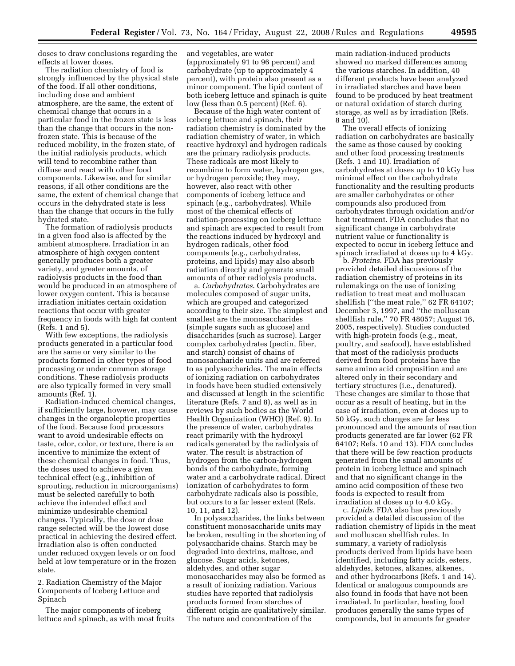doses to draw conclusions regarding the effects at lower doses.

The radiation chemistry of food is strongly influenced by the physical state of the food. If all other conditions, including dose and ambient atmosphere, are the same, the extent of chemical change that occurs in a particular food in the frozen state is less than the change that occurs in the nonfrozen state. This is because of the reduced mobility, in the frozen state, of the initial radiolysis products, which will tend to recombine rather than diffuse and react with other food components. Likewise, and for similar reasons, if all other conditions are the same, the extent of chemical change that occurs in the dehydrated state is less than the change that occurs in the fully hydrated state.

The formation of radiolysis products in a given food also is affected by the ambient atmosphere. Irradiation in an atmosphere of high oxygen content generally produces both a greater variety, and greater amounts, of radiolysis products in the food than would be produced in an atmosphere of lower oxygen content. This is because irradiation initiates certain oxidation reactions that occur with greater frequency in foods with high fat content (Refs. 1 and 5).

With few exceptions, the radiolysis products generated in a particular food are the same or very similar to the products formed in other types of food processing or under common storage conditions. These radiolysis products are also typically formed in very small amounts (Ref. 1).

Radiation-induced chemical changes, if sufficiently large, however, may cause changes in the organoleptic properties of the food. Because food processors want to avoid undesirable effects on taste, odor, color, or texture, there is an incentive to minimize the extent of these chemical changes in food. Thus, the doses used to achieve a given technical effect (e.g., inhibition of sprouting, reduction in microorganisms) must be selected carefully to both achieve the intended effect and minimize undesirable chemical changes. Typically, the dose or dose range selected will be the lowest dose practical in achieving the desired effect. Irradiation also is often conducted under reduced oxygen levels or on food held at low temperature or in the frozen state.

2. Radiation Chemistry of the Major Components of Iceberg Lettuce and Spinach

The major components of iceberg lettuce and spinach, as with most fruits and vegetables, are water (approximately 91 to 96 percent) and carbohydrate (up to approximately 4 percent), with protein also present as a minor component. The lipid content of both iceberg lettuce and spinach is quite low (less than 0.5 percent) (Ref. 6).

Because of the high water content of iceberg lettuce and spinach, their radiation chemistry is dominated by the radiation chemistry of water, in which reactive hydroxyl and hydrogen radicals are the primary radiolysis products. These radicals are most likely to recombine to form water, hydrogen gas, or hydrogen peroxide; they may, however, also react with other components of iceberg lettuce and spinach (e.g., carbohydrates). While most of the chemical effects of radiation-processing on iceberg lettuce and spinach are expected to result from the reactions induced by hydroxyl and hydrogen radicals, other food components (e.g., carbohydrates, proteins, and lipids) may also absorb radiation directly and generate small amounts of other radiolysis products.

a. *Carbohydrates*. Carbohydrates are molecules composed of sugar units, which are grouped and categorized according to their size. The simplest and smallest are the monosaccharides (simple sugars such as glucose) and disaccharides (such as sucrose). Larger complex carbohydrates (pectin, fiber, and starch) consist of chains of monosaccharide units and are referred to as polysaccharides. The main effects of ionizing radiation on carbohydrates in foods have been studied extensively and discussed at length in the scientific literature (Refs. 7 and 8), as well as in reviews by such bodies as the World Health Organization (WHO) (Ref. 9). In the presence of water, carbohydrates react primarily with the hydroxyl radicals generated by the radiolysis of water. The result is abstraction of hydrogen from the carbon-hydrogen bonds of the carbohydrate, forming water and a carbohydrate radical. Direct ionization of carbohydrates to form carbohydrate radicals also is possible, but occurs to a far lesser extent (Refs. 10, 11, and 12).

In polysaccharides, the links between constituent monosaccharide units may be broken, resulting in the shortening of polysaccharide chains. Starch may be degraded into dextrins, maltose, and glucose. Sugar acids, ketones, aldehydes, and other sugar monosaccharides may also be formed as a result of ionizing radiation. Various studies have reported that radiolysis products formed from starches of different origin are qualitatively similar. The nature and concentration of the

main radiation-induced products showed no marked differences among the various starches. In addition, 40 different products have been analyzed in irradiated starches and have been found to be produced by heat treatment or natural oxidation of starch during storage, as well as by irradiation (Refs. 8 and 10).

The overall effects of ionizing radiation on carbohydrates are basically the same as those caused by cooking and other food processing treatments (Refs. 1 and 10). Irradiation of carbohydrates at doses up to 10 kGy has minimal effect on the carbohydrate functionality and the resulting products are smaller carbohydrates or other compounds also produced from carbohydrates through oxidation and/or heat treatment. FDA concludes that no significant change in carbohydrate nutrient value or functionality is expected to occur in iceberg lettuce and spinach irradiated at doses up to 4 kGy.

b. *Proteins*. FDA has previously provided detailed discussions of the radiation chemistry of proteins in its rulemakings on the use of ionizing radiation to treat meat and molluscan shellfish (''the meat rule,'' 62 FR 64107; December 3, 1997, and ''the molluscan shellfish rule,'' 70 FR 48057; August 16, 2005, respectively). Studies conducted with high-protein foods (e.g., meat, poultry, and seafood), have established that most of the radiolysis products derived from food proteins have the same amino acid composition and are altered only in their secondary and tertiary structures (i.e., denatured). These changes are similar to those that occur as a result of heating, but in the case of irradiation, even at doses up to 50 kGy, such changes are far less pronounced and the amounts of reaction products generated are far lower (62 FR 64107; Refs. 10 and 13). FDA concludes that there will be few reaction products generated from the small amounts of protein in iceberg lettuce and spinach and that no significant change in the amino acid composition of these two foods is expected to result from irradiation at doses up to 4.0 kGy.

c. *Lipids*. FDA also has previously provided a detailed discussion of the radiation chemistry of lipids in the meat and molluscan shellfish rules. In summary, a variety of radiolysis products derived from lipids have been identified, including fatty acids, esters, aldehydes, ketones, alkanes, alkenes, and other hydrocarbons (Refs. 1 and 14). Identical or analogous compounds are also found in foods that have not been irradiated. In particular, heating food produces generally the same types of compounds, but in amounts far greater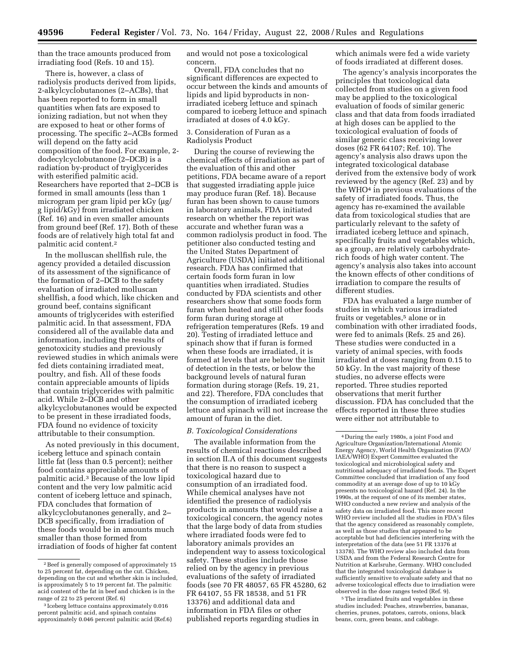than the trace amounts produced from irradiating food (Refs. 10 and 15).

There is, however, a class of radiolysis products derived from lipids, 2-alkylcyclobutanones (2–ACBs), that has been reported to form in small quantities when fats are exposed to ionizing radiation, but not when they are exposed to heat or other forms of processing. The specific 2–ACBs formed will depend on the fatty acid composition of the food. For example, 2 dodecylcyclobutanone (2–DCB) is a radiation by-product of tryiglycerides with esterified palmitic acid. Researchers have reported that 2–DCB is formed in small amounts (less than 1 microgram per gram lipid per kGy (µg/ g lipid/kGy) from irradiated chicken (Ref. 16) and in even smaller amounts from ground beef (Ref. 17). Both of these foods are of relatively high total fat and palmitic acid content.2

In the molluscan shellfish rule, the agency provided a detailed discussion of its assessment of the significance of the formation of 2–DCB to the safety evaluation of irradiated molluscan shellfish, a food which, like chicken and ground beef, contains significant amounts of triglycerides with esterified palmitic acid. In that assessment, FDA considered all of the available data and information, including the results of genotoxicity studies and previously reviewed studies in which animals were fed diets containing irradiated meat, poultry, and fish. All of these foods contain appreciable amounts of lipids that contain triglycerides with palmitic acid. While 2–DCB and other alkylcyclobutanones would be expected to be present in these irradiated foods, FDA found no evidence of toxicity attributable to their consumption.

As noted previously in this document, iceberg lettuce and spinach contain little fat (less than 0.5 percent); neither food contains appreciable amounts of palmitic acid.3 Because of the low lipid content and the very low palmitic acid content of iceberg lettuce and spinach, FDA concludes that formation of alkylcyclobutanones generally, and 2– DCB specifically, from irradiation of these foods would be in amounts much smaller than those formed from irradiation of foods of higher fat content

and would not pose a toxicological concern.

Overall, FDA concludes that no significant differences are expected to occur between the kinds and amounts of lipids and lipid byproducts in nonirradiated iceberg lettuce and spinach compared to iceberg lettuce and spinach irradiated at doses of 4.0 kGy.

## 3. Consideration of Furan as a Radiolysis Product

During the course of reviewing the chemical effects of irradiation as part of the evaluation of this and other petitions, FDA became aware of a report that suggested irradiating apple juice may produce furan (Ref. 18). Because furan has been shown to cause tumors in laboratory animals, FDA initiated research on whether the report was accurate and whether furan was a common radiolysis product in food. The petitioner also conducted testing and the United States Department of Agriculture (USDA) initiated additional research. FDA has confirmed that certain foods form furan in low quantities when irradiated. Studies conducted by FDA scientists and other researchers show that some foods form furan when heated and still other foods form furan during storage at refrigeration temperatures (Refs. 19 and 20). Testing of irradiated lettuce and spinach show that if furan is formed when these foods are irradiated, it is formed at levels that are below the limit of detection in the tests, or below the background levels of natural furan formation during storage (Refs. 19, 21, and 22). Therefore, FDA concludes that the consumption of irradiated iceberg lettuce and spinach will not increase the amount of furan in the diet.

#### *B. Toxicological Considerations*

The available information from the results of chemical reactions described in section II.A of this document suggests that there is no reason to suspect a toxicological hazard due to consumption of an irradiated food. While chemical analyses have not identified the presence of radiolysis products in amounts that would raise a toxicological concern, the agency notes that the large body of data from studies where irradiated foods were fed to laboratory animals provides an independent way to assess toxicological safety. These studies include those relied on by the agency in previous evaluations of the safety of irradiated foods (see 70 FR 48057, 65 FR 45280, 62 FR 64107, 55 FR 18538, and 51 FR 13376) and additional data and information in FDA files or other published reports regarding studies in

which animals were fed a wide variety of foods irradiated at different doses.

The agency's analysis incorporates the principles that toxicological data collected from studies on a given food may be applied to the toxicological evaluation of foods of similar generic class and that data from foods irradiated at high doses can be applied to the toxicological evaluation of foods of similar generic class receiving lower doses (62 FR 64107; Ref. 10). The agency's analysis also draws upon the integrated toxicological database derived from the extensive body of work reviewed by the agency (Ref. 23) and by the WHO<sup>4</sup> in previous evaluations of the safety of irradiated foods. Thus, the agency has re-examined the available data from toxicological studies that are particularly relevant to the safety of irradiated iceberg lettuce and spinach, specifically fruits and vegetables which, as a group, are relatively carbohydraterich foods of high water content. The agency's analysis also takes into account the known effects of other conditions of irradiation to compare the results of different studies.

FDA has evaluated a large number of studies in which various irradiated fruits or vegetables,<sup>5</sup> alone or in combination with other irradiated foods, were fed to animals (Refs. 25 and 26). These studies were conducted in a variety of animal species, with foods irradiated at doses ranging from 0.15 to 50 kGy. In the vast majority of these studies, no adverse effects were reported. Three studies reported observations that merit further discussion. FDA has concluded that the effects reported in these three studies were either not attributable to

5The irradiated fruits and vegetables in these studies included: Peaches, strawberries, bananas, cherries, prunes, potatoes, carrots, onions, black beans, corn, green beans, and cabbage.

<sup>2</sup>Beef is generally composed of approximately 15 to 25 percent fat, depending on the cut. Chicken, depending on the cut and whether skin is included, is approximately 5 to 19 percent fat. The palmitic acid content of the fat in beef and chicken is in the range of 22 to 25 percent (Ref. 6)

<sup>3</sup> Iceberg lettuce contains approximately 0.016 percent palmitic acid, and spinach contains approximately 0.046 percent palmitic acid (Ref.6)

<sup>4</sup> During the early 1980s, a joint Food and Agriculture Organization/International Atomic Energy Agency, World Health Organization (FAO/ IAEA/WHO) Expert Committee evaluated the toxicological and microbiological safety and nutritional adequacy of irradiated foods. The Expert Committee concluded that irradiation of any food commodity at an average dose of up to 10 kGy presents no toxicological hazard (Ref. 24). In the 1990s, at the request of one of its member states, WHO conducted a new review and analysis of the safety data on irradiated food. This more recent WHO review included all the studies in FDA's files that the agency considered as reasonably complete, as well as those studies that appeared to be acceptable but had deficiencies interfering with the interpretation of the data (see 51 FR 13376 at 13378). The WHO review also included data from USDA and from the Federal Research Centre for Nutrition at Karlsruhe, Germany. WHO concluded that the integrated toxicological database is sufficiently sensitive to evaluate safety and that no adverse toxicological effects due to irradiation were observed in the dose ranges tested (Ref. 9).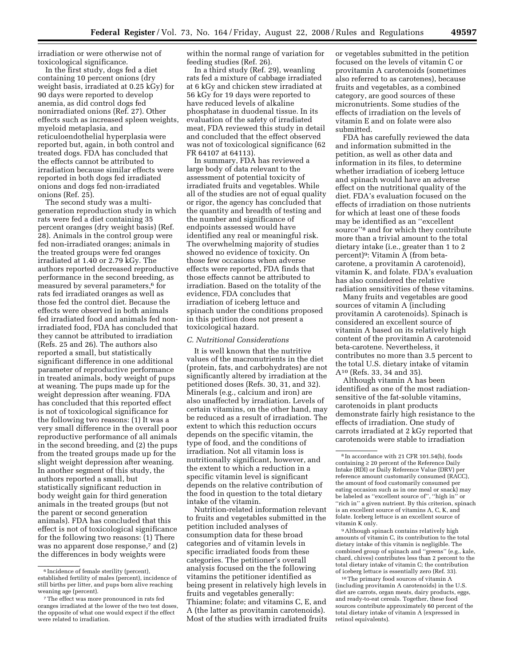irradiation or were otherwise not of toxicological significance.

In the first study, dogs fed a diet containing 10 percent onions (dry weight basis, irradiated at 0.25 kGy) for 90 days were reported to develop anemia, as did control dogs fed nonirradiated onions (Ref. 27). Other effects such as increased spleen weights, myeloid metaplasia, and reticuloendothelial hyperplasia were reported but, again, in both control and treated dogs. FDA has concluded that the effects cannot be attributed to irradiation because similar effects were reported in both dogs fed irradiated onions and dogs fed non-irradiated onions (Ref. 25).

The second study was a multigeneration reproduction study in which rats were fed a diet containing 35 percent oranges (dry weight basis) (Ref. 28). Animals in the control group were fed non-irradiated oranges; animals in the treated groups were fed oranges irradiated at 1.40 or 2.79 kGy. The authors reported decreased reproductive performance in the second breeding, as measured by several parameters,<sup>6</sup> for rats fed irradiated oranges as well as those fed the control diet. Because the effects were observed in both animals fed irradiated food and animals fed nonirradiated food, FDA has concluded that they cannot be attributed to irradiation (Refs. 25 and 26). The authors also reported a small, but statistically significant difference in one additional parameter of reproductive performance in treated animals, body weight of pups at weaning. The pups made up for the weight depression after weaning. FDA has concluded that this reported effect is not of toxicological significance for the following two reasons: (1) It was a very small difference in the overall poor reproductive performance of all animals in the second breeding, and (2) the pups from the treated groups made up for the slight weight depression after weaning. In another segment of this study, the authors reported a small, but statistically significant reduction in body weight gain for third generation animals in the treated groups (but not the parent or second generation animals). FDA has concluded that this effect is not of toxicological significance for the following two reasons: (1) There was no apparent dose response,<sup>7</sup> and (2) the differences in body weights were

within the normal range of variation for feeding studies (Ref. 26).

In a third study (Ref. 29), weanling rats fed a mixture of cabbage irradiated at 6 kGy and chicken stew irradiated at 56 kGy for 19 days were reported to have reduced levels of alkaline phosphatase in duodenal tissue. In its evaluation of the safety of irradiated meat, FDA reviewed this study in detail and concluded that the effect observed was not of toxicological significance (62 FR 64107 at 64113).

In summary, FDA has reviewed a large body of data relevant to the assessment of potential toxicity of irradiated fruits and vegetables. While all of the studies are not of equal quality or rigor, the agency has concluded that the quantity and breadth of testing and the number and significance of endpoints assessed would have identified any real or meaningful risk. The overwhelming majority of studies showed no evidence of toxicity. On those few occasions when adverse effects were reported, FDA finds that those effects cannot be attributed to irradiation. Based on the totality of the evidence, FDA concludes that irradiation of iceberg lettuce and spinach under the conditions proposed in this petition does not present a toxicological hazard.

## *C. Nutritional Considerations*

It is well known that the nutritive values of the macronutrients in the diet (protein, fats, and carbohydrates) are not significantly altered by irradiation at the petitioned doses (Refs. 30, 31, and 32). Minerals (e.g., calcium and iron) are also unaffected by irradiation. Levels of certain vitamins, on the other hand, may be reduced as a result of irradiation. The extent to which this reduction occurs depends on the specific vitamin, the type of food, and the conditions of irradiation. Not all vitamin loss is nutritionally significant, however, and the extent to which a reduction in a specific vitamin level is significant depends on the relative contribution of the food in question to the total dietary intake of the vitamin.

Nutrition-related information relevant to fruits and vegetables submitted in the petition included analyses of consumption data for these broad categories and of vitamin levels in specific irradiated foods from these categories. The petitioner's overall analysis focused on the the following vitamins the petitioner identified as being present in relatively high levels in fruits and vegetables generally: Thiamine; folate; and vitamins C, E, and A (the latter as provitamin carotenoids). Most of the studies with irradiated fruits or vegetables submitted in the petition focused on the levels of vitamin C or provitamin A carotenoids (sometimes also referred to as carotenes), because fruits and vegetables, as a combined category, are good sources of these micronutrients. Some studies of the effects of irradiation on the levels of vitamin E and on folate were also submitted.

FDA has carefully reviewed the data and information submitted in the petition, as well as other data and information in its files, to determine whether irradiation of iceberg lettuce and spinach would have an adverse effect on the nutritional quality of the diet. FDA's evaluation focused on the effects of irradiation on those nutrients for which at least one of these foods may be identified as an ''excellent source''8 and for which they contribute more than a trivial amount to the total dietary intake (i.e., greater than 1 to 2 percent)9: Vitamin A (from betacarotene, a provitamin A carotenoid), vitamin K, and folate. FDA's evaluation has also considered the relative radiation sensitivities of these vitamins.

Many fruits and vegetables are good sources of vitamin A (including provitamin A carotenoids). Spinach is considered an excellent source of vitamin A based on its relatively high content of the provitamin A carotenoid beta-carotene. Nevertheless, it contributes no more than 3.5 percent to the total U.S. dietary intake of vitamin A10 (Refs. 33, 34 and 35).

Although vitamin A has been identified as one of the most radiationsensitive of the fat-soluble vitamins, carotenoids in plant products demonstrate fairly high resistance to the effects of irradiation. One study of carrots irradiated at 2 kGy reported that carotenoids were stable to irradiation

9Although spinach contains relatively high amounts of vitamin C, its contribution to the total dietary intake of this vitamin is negligible. The combined group of spinach and ''greens'' (e.g., kale, chard, chives) contributes less than 2 percent to the total dietary intake of vitamin C; the contribution of iceberg lettuce is essentially zero (Ref. 33).

10The primary food sources of vitamin A (including provitamin A carotenoids) in the U.S. diet are carrots, organ meats, dairy products, eggs, and ready-to-eat cereals. Together, these food sources contribute approximately 60 percent of the total dietary intake of vitamin A (expressed in retinol equivalents).

<sup>6</sup> Incidence of female sterility (percent), established fertility of males (percent), incidence of still births per litter, and pups born alive reaching weaning age (percent).

<sup>7</sup>The effect was more pronounced in rats fed oranges irradiated at the lower of the two test doses, the opposite of what one would expect if the effect were related to irradiation.

<sup>8</sup> In accordance with 21 CFR 101.54(b), foods containing ≥ 20 percent of the Reference Daily Intake (RDI) or Daily Reference Value (DRV) per reference amount customarily consumed (RACC), the amount of food customarily consumed per eating occasion such as in one meal or snack) may be labeled as ''excellent source of'', ''high in'' or "rich in" a given nutrient. By this criterion, spinach is an excellent source of vitamins A, C, K, and folate. Iceberg lettuce is an excellent source of vitamin K only.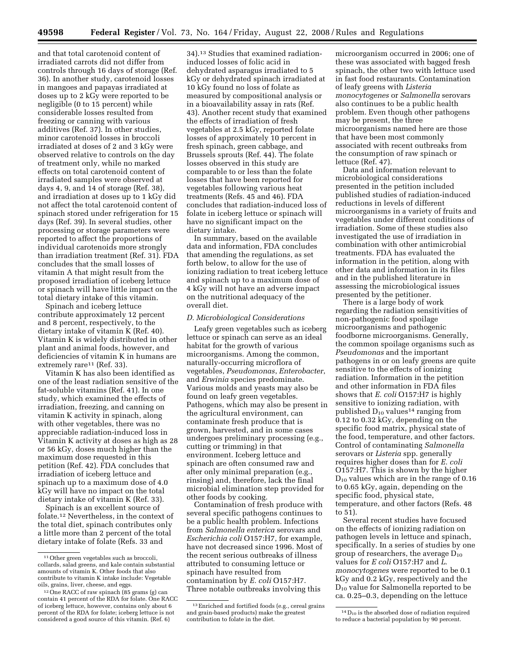and that total carotenoid content of irradiated carrots did not differ from controls through 16 days of storage (Ref. 36). In another study, carotenoid losses in mangoes and papayas irradiated at doses up to 2 kGy were reported to be negligible (0 to 15 percent) while considerable losses resulted from freezing or canning with various additives (Ref. 37). In other studies, minor carotenoid losses in broccoli irradiated at doses of 2 and 3 kGy were observed relative to controls on the day of treatment only, while no marked effects on total carotenoid content of irradiated samples were observed at days 4, 9, and 14 of storage (Ref. 38), and irradiation at doses up to 1 kGy did not affect the total carotenoid content of spinach stored under refrigeration for 15 days (Ref. 39). In several studies, other processing or storage parameters were reported to affect the proportions of individual carotenoids more strongly than irradiation treatment (Ref. 31). FDA concludes that the small losses of vitamin A that might result from the proposed irradiation of iceberg lettuce or spinach will have little impact on the total dietary intake of this vitamin.

Spinach and iceberg lettuce contribute approximately 12 percent and 8 percent, respectively, to the dietary intake of vitamin K (Ref. 40). Vitamin K is widely distributed in other plant and animal foods, however, and deficiencies of vitamin K in humans are extremely rare<sup>11</sup> (Ref. 33).

Vitamin K has also been identified as one of the least radiation sensitive of the fat-soluble vitamins (Ref. 41). In one study, which examined the effects of irradiation, freezing, and canning on vitamin K activity in spinach, along with other vegetables, there was no appreciable radiation-induced loss in Vitamin K activity at doses as high as 28 or 56 kGy, doses much higher than the maximum dose requested in this petition (Ref. 42). FDA concludes that irradiation of iceberg lettuce and spinach up to a maximum dose of 4.0 kGy will have no impact on the total dietary intake of vitamin K (Ref. 33).

Spinach is an excellent source of folate.12 Nevertheless, in the context of the total diet, spinach contributes only a little more than 2 percent of the total dietary intake of folate (Refs. 33 and

34).13 Studies that examined radiationinduced losses of folic acid in dehydrated asparagus irradiated to 5 kGy or dehydrated spinach irradiated at 10 kGy found no loss of folate as measured by compositional analysis or in a bioavailability assay in rats (Ref. 43). Another recent study that examined the effects of irradiation of fresh vegetables at 2.5 kGy, reported folate losses of approximately 10 percent in fresh spinach, green cabbage, and Brussels sprouts (Ref. 44). The folate losses observed in this study are comparable to or less than the folate losses that have been reported for vegetables following various heat treatments (Refs. 45 and 46). FDA concludes that radiation-induced loss of folate in iceberg lettuce or spinach will have no significant impact on the dietary intake.

In summary, based on the available data and information, FDA concludes that amending the regulations, as set forth below, to allow for the use of ionizing radiation to treat iceberg lettuce and spinach up to a maximum dose of 4 kGy will not have an adverse impact on the nutritional adequacy of the overall diet.

## *D. Microbiological Considerations*

Leafy green vegetables such as iceberg lettuce or spinach can serve as an ideal habitat for the growth of various microorganisms. Among the common, naturally-occurring microflora of vegetables, *Pseudomonas*, *Enterobacter*, and *Erwinia* species predominate. Various molds and yeasts may also be found on leafy green vegetables. Pathogens, which may also be present in the agricultural environment, can contaminate fresh produce that is grown, harvested, and in some cases undergoes preliminary processing (e.g., cutting or trimming) in that environment. Iceberg lettuce and spinach are often consumed raw and after only minimal preparation (e.g., rinsing) and, therefore, lack the final microbial elimination step provided for other foods by cooking.

Contamination of fresh produce with several specific pathogens continues to be a public health problem. Infections from *Salmonella enterica* serovars and *Escherichia coli* O157:H7, for example, have not decreased since 1996. Most of the recent serious outbreaks of illness attributed to consuming lettuce or spinach have resulted from contamination by *E. coli* O157:H7. Three notable outbreaks involving this

microorganism occurred in 2006; one of these was associated with bagged fresh spinach, the other two with lettuce used in fast food restaurants. Contamination of leafy greens with *Listeria monocytogenes* or *Salmonella* serovars also continues to be a public health problem. Even though other pathogens may be present, the three microorganisms named here are those that have been most commonly associated with recent outbreaks from the consumption of raw spinach or lettuce (Ref. 47).

Data and information relevant to microbiological considerations presented in the petition included published studies of radiation-induced reductions in levels of different microorganisms in a variety of fruits and vegetables under different conditions of irradiation. Some of these studies also investigated the use of irradiation in combination with other antimicrobial treatments. FDA has evaluated the information in the petition, along with other data and information in its files and in the published literature in assessing the microbiological issues presented by the petitioner.

There is a large body of work regarding the radiation sensitivities of non-pathogenic food spoilage microorganisms and pathogenic foodborne microorganisms. Generally, the common spoilage organisms such as *Pseudomonas* and the important pathogens in or on leafy greens are quite sensitive to the effects of ionizing radiation. Information in the petition and other information in FDA files shows that *E. coli* O157:H7 is highly sensitive to ionizing radiation, with published  $D_{10}$  values<sup>14</sup> ranging from 0.12 to 0.32 kGy, depending on the specific food matrix, physical state of the food, temperature, and other factors. Control of contaminating *Salmonella*  serovars or *Listeria* spp. generally requires higher doses than for *E. coli*  O157:H7. This is shown by the higher  $D_{10}$  values which are in the range of 0.16 to 0.65 kGy, again, depending on the specific food, physical state, temperature, and other factors (Refs. 48 to 51).

Several recent studies have focused on the effects of ionizing radiation on pathogen levels in lettuce and spinach, specifically. In a series of studies by one group of researchers, the average  $D_{10}$ values for *E coli* O157:H7 and *L. monocytogenes* were reported to be 0.1 kGy and 0.2 kGy, respectively and the D10 value for Salmonella reported to be ca. 0.25–0.3, depending on the lettuce

<sup>11</sup>Other green vegetables such as broccoli, collards, salad greens, and kale contain substantial amounts of vitamin K. Other foods that also contribute to vitamin K intake include: Vegetable oils, grains, liver, cheese, and eggs.

<sup>12</sup>One RACC of raw spinach (85 grams (g) can contain 41 percent of the RDA for folate. One RACC of iceberg lettuce, however, contains only about 6 percent of the RDA for folate; iceberg lettuce is not considered a good source of this vitamin. (Ref. 6)

<sup>13</sup>Enriched and fortified foods (e.g., cereal grains and grain-based products) make the greatest contribution to folate in the diet.

 $^{14}\mathrm{D}_{10}$  is the absorbed dose of radiation required to reduce a bacterial population by 90 percent.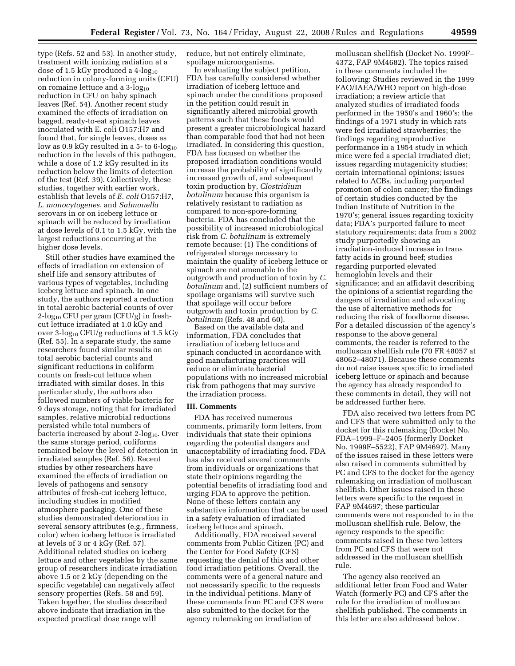type (Refs. 52 and 53). In another study, treatment with ionizing radiation at a dose of 1.5 kGy produced a 4- $log_{10}$ reduction in colony-forming units (CFU) on romaine lettuce and a  $3$ -log<sub>10</sub> reduction in CFU on baby spinach leaves (Ref. 54). Another recent study examined the effects of irradiation on bagged, ready-to-eat spinach leaves inoculated with E. coli O157:H7 and found that, for single leaves, doses as low as  $0.9$  kGy resulted in a 5- to 6-log<sub>10</sub> reduction in the levels of this pathogen, while a dose of 1.2 kGy resulted in its reduction below the limits of detection of the test (Ref. 39). Collectively, these studies, together with earlier work, establish that levels of *E. coli* O157:H7, *L. monocytogenes*, and *Salmonella*  serovars in or on iceberg lettuce or spinach will be reduced by irradiation at dose levels of 0.1 to 1.5 kGy, with the largest reductions occurring at the higher dose levels.

Still other studies have examined the effects of irradiation on extension of shelf life and sensory attributes of various types of vegetables, including iceberg lettuce and spinach. In one study, the authors reported a reduction in total aerobic bacterial counts of over  $2-\log_{10}$  CFU per gram (CFU/g) in freshcut lettuce irradiated at 1.0 kGy and over  $3$ -log<sub>10</sub> CFU/g reductions at  $1.5$  kGy (Ref. 55). In a separate study, the same researchers found similar results on total aerobic bacterial counts and significant reductions in coliform counts on fresh-cut lettuce when irradiated with similar doses. In this particular study, the authors also followed numbers of viable bacteria for 9 days storage, noting that for irradiated samples, relative microbial reductions persisted while total numbers of bacteria increased by about 2-log<sub>10</sub>. Over the same storage period, coliforms remained below the level of detection in irradiated samples (Ref. 56). Recent studies by other researchers have examined the effects of irradiation on levels of pathogens and sensory attributes of fresh-cut iceberg lettuce, including studies in modified atmosphere packaging. One of these studies demonstrated deterioration in several sensory attributes (e.g., firmness, color) when iceberg lettuce is irradiated at levels of 3 or 4 kGy (Ref. 57). Additional related studies on iceberg lettuce and other vegetables by the same group of researchers indicate irradiation above 1.5 or 2 kGy (depending on the specific vegetable) can negatively affect sensory properties (Refs. 58 and 59). Taken together, the studies described above indicate that irradiation in the expected practical dose range will

reduce, but not entirely eliminate, spoilage microorganisms.

In evaluating the subject petition, FDA has carefully considered whether irradiation of iceberg lettuce and spinach under the conditions proposed in the petition could result in significantly altered microbial growth patterns such that these foods would present a greater microbiological hazard than comparable food that had not been irradiated. In considering this question, FDA has focused on whether the proposed irradiation conditions would increase the probability of significantly increased growth of, and subsequent toxin production by, *Clostridium botulinum* because this organism is relatively resistant to radiation as compared to non-spore-forming bacteria. FDA has concluded that the possibility of increased microbiological risk from *C. botulinum* is extremely remote because: (1) The conditions of refrigerated storage necessary to maintain the quality of iceberg lettuce or spinach are not amenable to the outgrowth and production of toxin by *C. botulinum* and, (2) sufficient numbers of spoilage organisms will survive such that spoilage will occur before outgrowth and toxin production by *C. botulinum* (Refs. 48 and 60).

Based on the available data and information, FDA concludes that irradiation of iceberg lettuce and spinach conducted in accordance with good manufacturing practices will reduce or eliminate bacterial populations with no increased microbial risk from pathogens that may survive the irradiation process.

#### **III. Comments**

FDA has received numerous comments, primarily form letters, from individuals that state their opinions regarding the potential dangers and unacceptability of irradiating food. FDA has also received several comments from individuals or organizations that state their opinions regarding the potential benefits of irradiating food and urging FDA to approve the petition. None of these letters contain any substantive information that can be used in a safety evaluation of irradiated iceberg lettuce and spinach.

Additionally, FDA received several comments from Public Citizen (PC) and the Center for Food Safety (CFS) requesting the denial of this and other food irradiation petitions. Overall, the comments were of a general nature and not necessarily specific to the requests in the individual petitions. Many of these comments from PC and CFS were also submitted to the docket for the agency rulemaking on irradiation of

molluscan shellfish (Docket No. 1999F– 4372, FAP 9M4682). The topics raised in these comments included the following: Studies reviewed in the 1999 FAO/IAEA/WHO report on high-dose irradiation; a review article that analyzed studies of irradiated foods performed in the 1950's and 1960's; the findings of a 1971 study in which rats were fed irradiated strawberries; the findings regarding reproductive performance in a 1954 study in which mice were fed a special irradiated diet; issues regarding mutagenicity studies; certain international opinions; issues related to ACBs, including purported promotion of colon cancer; the findings of certain studies conducted by the Indian Institute of Nutrition in the 1970's; general issues regarding toxicity data; FDA's purported failure to meet statutory requirements; data from a 2002 study purportedly showing an irradiation-induced increase in trans fatty acids in ground beef; studies regarding purported elevated hemoglobin levels and their significance; and an affidavit describing the opinions of a scientist regarding the dangers of irradiation and advocating the use of alternative methods for reducing the risk of foodborne disease. For a detailed discussion of the agency's response to the above general comments, the reader is referred to the molluscan shellfish rule (70 FR 48057 at 48062–48071). Because these comments do not raise issues specific to irradiated iceberg lettuce or spinach and because the agency has already responded to these comments in detail, they will not be addressed further here.

FDA also received two letters from PC and CFS that were submitted only to the docket for this rulemaking (Docket No. FDA–1999–F–2405 (formerly Docket No. 1999F–5522), FAP 9M4697). Many of the issues raised in these letters were also raised in comments submitted by PC and CFS to the docket for the agency rulemaking on irradiation of molluscan shellfish. Other issues raised in these letters were specific to the request in FAP 9M4697; these particular comments were not responded to in the molluscan shellfish rule. Below, the agency responds to the specific comments raised in these two letters from PC and CFS that were not addressed in the molluscan shellfish rule.

The agency also received an additional letter from Food and Water Watch (formerly PC) and CFS after the rule for the irradiation of molluscan shellfish published. The comments in this letter are also addressed below.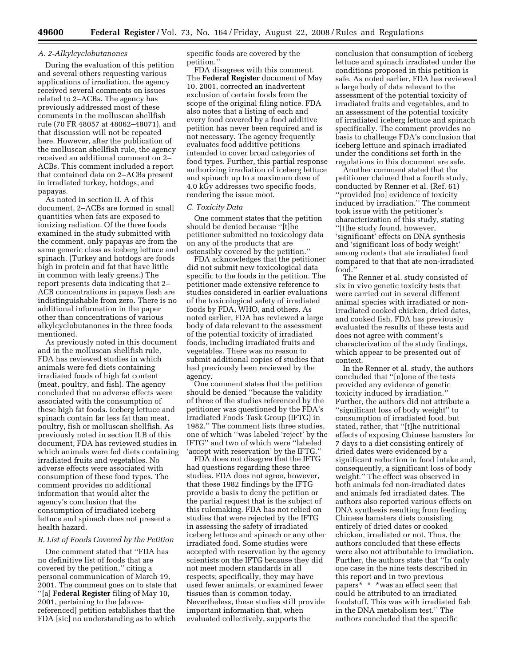# *A. 2-Alkylcyclobutanones*

During the evaluation of this petition and several others requesting various applications of irradiation, the agency received several comments on issues related to 2–ACBs. The agency has previously addressed most of these comments in the molluscan shellfish rule (70 FR 48057 at 48062–48071), and that discussion will not be repeated here. However, after the publication of the molluscan shellfish rule, the agency received an additional comment on 2– ACBs. This comment included a report that contained data on 2–ACBs present in irradiated turkey, hotdogs, and papayas.

As noted in section II. A of this document, 2–ACBs are formed in small quantities when fats are exposed to ionizing radiation. Of the three foods examined in the study submitted with the comment, only papayas are from the same generic class as iceberg lettuce and spinach. (Turkey and hotdogs are foods high in protein and fat that have little in common with leafy greens.) The report presents data indicating that 2– ACB concentrations in papaya flesh are indistinguishable from zero. There is no additional information in the paper other than concentrations of various alkylcyclobutanones in the three foods mentioned.

As previously noted in this document and in the molluscan shellfish rule, FDA has reviewed studies in which animals were fed diets containing irradiated foods of high fat content (meat, poultry, and fish). The agency concluded that no adverse effects were associated with the consumption of these high fat foods. Iceberg lettuce and spinach contain far less fat than meat, poultry, fish or molluscan shellfish. As previously noted in section II.B of this document, FDA has reviewed studies in which animals were fed diets containing irradiated fruits and vegetables. No adverse effects were associated with consumption of these food types. The comment provides no additional information that would alter the agency's conclusion that the consumption of irradiated iceberg lettuce and spinach does not present a health hazard.

# *B. List of Foods Covered by the Petition*

One comment stated that ''FDA has no definitive list of foods that are covered by the petition,'' citing a personal communication of March 19, 2001. The comment goes on to state that ''[a] **Federal Register** filing of May 10, 2001, pertaining to the [abovereferenced] petition establishes that the FDA [sic] no understanding as to which

specific foods are covered by the petition.''

FDA disagrees with this comment. The **Federal Register** document of May 10, 2001, corrected an inadvertent exclusion of certain foods from the scope of the original filing notice. FDA also notes that a listing of each and every food covered by a food additive petition has never been required and is not necessary. The agency frequently evaluates food additive petitions intended to cover broad categories of food types. Further, this partial response authorizing irradiation of iceberg lettuce and spinach up to a maximum dose of 4.0 kGy addresses two specific foods, rendering the issue moot.

## *C. Toxicity Data*

One comment states that the petition should be denied because ''[t]he petitioner submitted no toxicology data on any of the products that are ostensibly covered by the petition.''

FDA acknowledges that the petitioner did not submit new toxicological data specific to the foods in the petition. The petitioner made extensive reference to studies considered in earlier evaluations of the toxicological safety of irradiated foods by FDA, WHO, and others. As noted earlier, FDA has reviewed a large body of data relevant to the assessment of the potential toxicity of irradiated foods, including irradiated fruits and vegetables. There was no reason to submit additional copies of studies that had previously been reviewed by the agency.

One comment states that the petition should be denied ''because the validity of three of the studies referenced by the petitioner was questioned by the FDA's Irradiated Foods Task Group (IFTG) in 1982.'' The comment lists three studies, one of which ''was labeled 'reject' by the IFTG'' and two of which were ''labeled 'accept with reservation' by the IFTG.''

FDA does not disagree that the IFTG had questions regarding these three studies. FDA does not agree, however, that these 1982 findings by the IFTG provide a basis to deny the petition or the partial request that is the subject of this rulemaking. FDA has not relied on studies that were rejected by the IFTG in assessing the safety of irradiated iceberg lettuce and spinach or any other irradiated food. Some studies were accepted with reservation by the agency scientists on the IFTG because they did not meet modern standards in all respects; specifically, they may have used fewer animals, or examined fewer tissues than is common today. Nevertheless, these studies still provide important information that, when evaluated collectively, supports the

conclusion that consumption of iceberg lettuce and spinach irradiated under the conditions proposed in this petition is safe. As noted earlier, FDA has reviewed a large body of data relevant to the assessment of the potential toxicity of irradiated fruits and vegetables, and to an assessment of the potential toxicity of irradiated iceberg lettuce and spinach specifically. The comment provides no basis to challenge FDA's conclusion that iceberg lettuce and spinach irradiated under the conditions set forth in the regulations in this document are safe.

Another comment stated that the petitioner claimed that a fourth study, conducted by Renner et al. (Ref. 61) ''provided [no] evidence of toxicity induced by irradiation.'' The comment took issue with the petitioner's characterization of this study, stating ''[t]he study found, however, 'significant' effects on DNA synthesis and 'significant loss of body weight' among rodents that ate irradiated food compared to that that ate non-irradiated food.''

The Renner et al. study consisted of six in vivo genetic toxicity tests that were carried out in several different animal species with irradiated or nonirradiated cooked chicken, dried dates, and cooked fish. FDA has previously evaluated the results of these tests and does not agree with comment's characterization of the study findings, which appear to be presented out of context.

In the Renner et al. study, the authors concluded that ''[n]one of the tests provided any evidence of genetic toxicity induced by irradiation.'' Further, the authors did not attribute a ''significant loss of body weight'' to consumption of irradiated food, but stated, rather, that ''[t]he nutritional effects of exposing Chinese hamsters for 7 days to a diet consisting entirely of dried dates were evidenced by a significant reduction in food intake and, consequently, a significant loss of body weight.'' The effect was observed in both animals fed non-irradiated dates and animals fed irradiated dates. The authors also reported various effects on DNA synthesis resulting from feeding Chinese hamsters diets consisting entirely of dried dates or cooked chicken, irradiated or not. Thus, the authors concluded that these effects were also not attributable to irradiation. Further, the authors state that ''In only one case in the nine tests described in this report and in two previous papers\* \* \*was an effect seen that could be attributed to an irradiated foodstuff. This was with irradiated fish in the DNA metabolism test.'' The authors concluded that the specific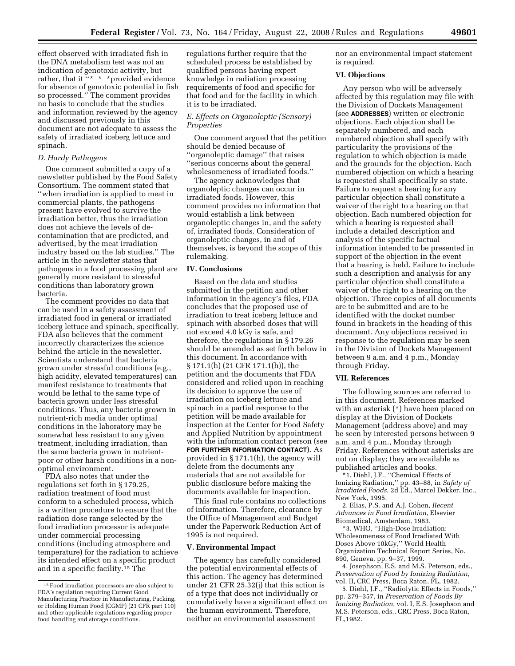effect observed with irradiated fish in the DNA metabolism test was not an indication of genotoxic activity, but rather, that it "\* \* \* \* provided evidence for absence of genotoxic potential in fish so processed.'' The comment provides no basis to conclude that the studies and information reviewed by the agency and discussed previously in this document are not adequate to assess the safety of irradiated iceberg lettuce and spinach.

# *D. Hardy Pathogens*

One comment submitted a copy of a newsletter published by the Food Safety Consortium. The comment stated that ''when irradiation is applied to meat in commercial plants, the pathogens present have evolved to survive the irradiation better, thus the irradiation does not achieve the levels of decontamination that are predicted, and advertised, by the meat irradiation industry based on the lab studies.'' The article in the newsletter states that pathogens in a food processing plant are generally more resistant to stressful conditions than laboratory grown bacteria.

The comment provides no data that can be used in a safety assessment of irradiated food in general or irradiated iceberg lettuce and spinach, specifically. FDA also believes that the comment incorrectly characterizes the science behind the article in the newsletter. Scientists understand that bacteria grown under stressful conditions (e.g., high acidity, elevated temperatures) can manifest resistance to treatments that would be lethal to the same type of bacteria grown under less stressful conditions. Thus, any bacteria grown in nutrient-rich media under optimal conditions in the laboratory may be somewhat less resistant to any given treatment, including irradiation, than the same bacteria grown in nutrientpoor or other harsh conditions in a nonoptimal environment.

FDA also notes that under the regulations set forth in § 179.25, radiation treatment of food must conform to a scheduled process, which is a written procedure to ensure that the radiation dose range selected by the food irradiation processor is adequate under commercial processing conditions (including atmosphere and temperature) for the radiation to achieve its intended effect on a specific product and in a specific facility.15 The

regulations further require that the scheduled process be established by qualified persons having expert knowledge in radiation processing requirements of food and specific for that food and for the facility in which it is to be irradiated.

# *E. Effects on Organoleptic (Sensory) Properties*

One comment argued that the petition should be denied because of ''organoleptic damage'' that raises ''serious concerns about the general wholesomeness of irradiated foods.''

The agency acknowledges that organoleptic changes can occur in irradiated foods. However, this comment provides no information that would establish a link between organoleptic changes in, and the safety of, irradiated foods. Consideration of organoleptic changes, in and of themselves, is beyond the scope of this rulemaking.

# **IV. Conclusions**

Based on the data and studies submitted in the petition and other information in the agency's files, FDA concludes that the proposed use of irradiation to treat iceberg lettuce and spinach with absorbed doses that will not exceed 4.0 kGy is safe, and therefore, the regulations in § 179.26 should be amended as set forth below in this document. In accordance with § 171.1(h) (21 CFR 171.1(h)), the petition and the documents that FDA considered and relied upon in reaching its decision to approve the use of irradiation on iceberg lettuce and spinach in a partial response to the petition will be made available for inspection at the Center for Food Safety and Applied Nutrition by appointment with the information contact person (see **FOR FURTHER INFORMATION CONTACT**). As provided in § 171.1(h), the agency will delete from the documents any materials that are not available for public disclosure before making the documents available for inspection.

This final rule contains no collections of information. Therefore, clearance by the Office of Management and Budget under the Paperwork Reduction Act of 1995 is not required.

#### **V. Environmental Impact**

The agency has carefully considered the potential environmental effects of this action. The agency has determined under 21 CFR 25.32(j) that this action is of a type that does not individually or cumulatively have a significant effect on the human environment. Therefore, neither an environmental assessment

nor an environmental impact statement is required.

## **VI. Objections**

Any person who will be adversely affected by this regulation may file with the Division of Dockets Management (see **ADDRESSES**) written or electronic objections. Each objection shall be separately numbered, and each numbered objection shall specify with particularity the provisions of the regulation to which objection is made and the grounds for the objection. Each numbered objection on which a hearing is requested shall specifically so state. Failure to request a hearing for any particular objection shall constitute a waiver of the right to a hearing on that objection. Each numbered objection for which a hearing is requested shall include a detailed description and analysis of the specific factual information intended to be presented in support of the objection in the event that a hearing is held. Failure to include such a description and analysis for any particular objection shall constitute a waiver of the right to a hearing on the objection. Three copies of all documents are to be submitted and are to be identified with the docket number found in brackets in the heading of this document. Any objections received in response to the regulation may be seen in the Division of Dockets Management between 9 a.m. and 4 p.m., Monday through Friday.

#### **VII. References**

The following sources are referred to in this document. References marked with an asterisk (\*) have been placed on display at the Division of Dockets Management (address above) and may be seen by interested persons between 9 a.m. and 4 p.m., Monday through Friday. References without asterisks are not on display; they are available as published articles and books.

\*1. Diehl, J.F., ''Chemical Effects of Ionizing Radiation,'' pp. 43–88, in *Safety of Irradiated Foods*, 2d Ed., Marcel Dekker, Inc., New York, 1995.

2. Elias, P.S. and A.J. Cohen, *Recent Advances in Food Irradiation*, Elsevier Biomedical, Amsterdam, 1983.

\*3. WHO, ''High-Dose Irradiation: Wholesomeness of Food Irradiated With Doses Above 10kGy,'' World Health Organization Technical Report Series, No. 890, Geneva, pp. 9–37, 1999.

4. Josephson, E.S. and M.S. Peterson, eds., *Preservation of Food by Ionizing Radiation*, vol. II, CRC Press, Boca Raton, FL, 1982.

5. Diehl, J.F., ''Radiolytic Effects in Foods,'' pp. 279–357, in *Preservation of Foods By Ionizing Radiation*, vol. I, E.S. Josephson and M.S. Peterson, eds., CRC Press, Boca Raton, FL,1982.

<sup>15</sup>Food irradiation processors are also subject to FDA's regulation requiring Current Good Manufacturing Practice in Manufacturing, Packing, or Holding Human Food (CGMP) (21 CFR part 110) and other applicable regulations regarding proper food handling and storage conditions.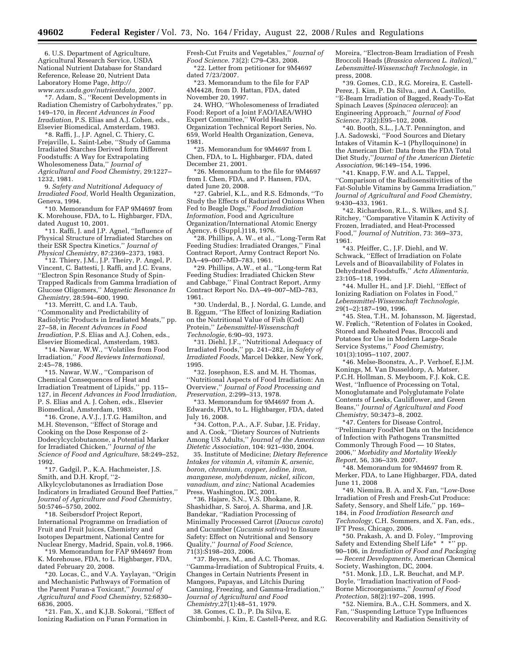6. U.S. Department of Agriculture, Agricultural Research Service, USDA National Nutrient Database for Standard Reference, Release 20, Nutrient Data Laboratory Home Page, *http:// www.ars.usda.gov/nutrientdata*, 2007.

\*7. Adam, S., ''Recent Developments in Radiation Chemistry of Carbohydrates,'' pp. 149–170, in *Recent Advances in Food Irradiation*, P.S. Elias and A.J. Cohen, eds., Elsevier Biomedical, Amsterdam, 1983.

\*8. Raffi, J., J.P. Agnel, C. Thiery, C. Frejaville, L. Saint-Lebe, ''Study of Gamma Irradiated Starches Derived form Different Foodstuffs: A Way for Extrapolating Wholesomeness Data,'' *Journal of Agricultural and Food Chemistry*, 29:1227– 1232, 1981.

9. *Safety and Nutritional Adequacy of Irradiated Food*, World Health Organization, Geneva, 1994.

\*10. Memorandum for FAP 9M4697 from K. Morehouse, FDA, to L. Highbarger, FDA, dated August 10, 2001.

\*11. Raffi, J. and J.P. Agnel, ''Influence of Physical Structure of Irradiated Starches on their ESR Spectra Kinetics,'' *Journal of Physical Chemistry*, 87:2369–2373, 1983.

\*12. Thiery, J.M., J.P. Theiry, P. Angel, P. Vincent, C. Battesti, J. Raffi, and J.C. Evans, ''Electron Spin Resonance Study of Spin-Trapped Radicals from Gamma Irradiation of Glucose Oligomers,'' *Magnetic Resonance In Chemistry*, 28:594–600, 1990.

\*13. Merritt, C. and I.A. Taub, ''Commonality and Predictability of Radiolytic Products in Irradiated Meats,'' pp. 27–58, in *Recent Advances in Food Irradiation*, P.S. Elias and A.J. Cohen, eds., Elsevier Biomedical, Amsterdam, 1983.

\*14. Nawar, W.W., ''Volatiles from Food Irradiation,'' *Food Reviews International*, 2:45–78, 1986.

\*15. Nawar, W.W., ''Comparison of Chemical Consequences of Heat and Irradiation Treatment of Lipids,'' pp. 115– 127, in *Recent Advances in Food Irradiation*, P. S. Elias and A. J. Cohen, eds., Elsevier Biomedical, Amsterdam, 1983.

\*16. Crone, A.V.J., J.T.G. Hamilton, and M.H. Stevenson, ''Effect of Storage and Cooking on the Dose Response of 2- Dodecylcyclobutanone, a Potential Marker for Irradiated Chicken,'' *Journal of the Science of Food and Agriculture*, 58:249–252, 1992.

\*17. Gadgil, P., K.A. Hachmeister, J.S. Smith, and D.H. Kropf, ''2- Alkylcyclobutanones as Irradiation Dose Indicators in Irradiated Ground Beef Patties,'' *Journal of Agriculture and Food Chemistry*, 50:5746–5750, 2002.

\*18. Seibersdorf Project Report, International Programme on Irradiation of Fruit and Fruit Juices, Chemistry and Isotopes Department, National Centre for Nuclear Energy, Madrid, Spain, vol.8, 1966.

\*19. Memorandum for FAP 9M4697 from K. Morehouse, FDA, to L. Highbarger, FDA, dated February 20, 2008.

\*20. Locas, C., and V.A. Yaylayan, ''Origin and Mechanistic Pathways of Formation of the Parent Furan-a Toxicant,'' *Journal of Agricultural and Food Chemistry*, 52:6830– 6836, 2005.

\*21. Fan, X., and K.J.B. Sokorai, ''Effect of Ionizing Radiation on Furan Formation in

Fresh-Cut Fruits and Vegetables,'' *Journal of Food Science*. 73(2): C79–C83, 2008. \*22. Letter from petitioner for 9M4697 dated 7/23/2007.

\*23. Memorandum to the file for FAP 4M4428, from D. Hattan, FDA, dated November 20, 1997.

24. WHO, ''Wholesomeness of Irradiated Food: Report of a Joint FAO/IAEA/WHO Expert Committee,'' World Health Organization Technical Report Series, No. 659, World Health Organization, Geneva, 1981.

\*25. Memorandum for 9M4697 from I. Chen, FDA, to L. Highbarger, FDA, dated December 21, 2001.

\*26. Memorandum to the file for 9M4697 from I. Chen, FDA, and P. Hansen, FDA, dated June 20, 2008.

\*27. Gabriel, K.L., and R.S. Edmonds, ''To Study the Effects of Radurized Onions When Fed to Beagle Dogs,'' *Food Irradiation Information*, Food and Agriculture Organization/International Atomic Energy Agency, 6 (Suppl.)118, 1976.

\*28. Phillips, A. W., et al., ''Long-Term Rat Feeding Studies: Irradiated Oranges,'' Final Contract Report, Army Contract Report No. DA–49–007–MD–783, 1961.

\*29. Phillips, A.W., et al., ''Long-term Rat Feeding Studies: Irradiated Chicken Stew and Cabbage,'' Final Contract Report, Army Contract Report No. DA–49–007–MD–783, 1961.

\*30. Underdal, B., J. Nordal, G. Lunde, and B. Eggum, ''The Effect of Ionizing Radiation on the Nutritional Value of Fish (Cod) Protein,'' *Lebensmittel-Wissenschaft Technologie*, 6:90–93, 1973.

\*31. Diehl, J.F., ''Nutritional Adequacy of Irradiated Foods,'' pp. 241–282, in *Safety of Irradiated Foods*, Marcel Dekker, New York, 1995.

\*32. Josephson, E.S. and M. H. Thomas, ''Nutritional Aspects of Food Irradiation: An Overview,'' *Journal of Food Processing and Preservation*, 2:299–313, 1978.

\*33. Memorandum for 9M4697 from A. Edwards, FDA, to L. Highbarger, FDA, dated July 16, 2008.

\*34. Cotton, P.A., A.F. Subar, J.E. Friday, and A. Cook, ''Dietary Sources of Nutrients Among US Adults,'' *Journal of the American Dietetic Association*, 104: 921–930, 2004.

35. Institute of Medicine; *Dietary Reference Intakes for vitamin A, vitamin K, arsenic, boron, chromium, copper, iodine, iron, manganese, molybdenum, nickel, silicon, vanadium, and zinc;* National Academies Press, Washington, DC, 2001.

\*36. Hajare, S.N., V.S. Dhokane, R. Shashidhar, S. Saroj, A. Sharma, and J.R. Bandekar, ''Radiation Processing of Minimally Processed Carrot (*Daucus carota*) and Cucumber (*Cucumis sativus*) to Ensure Safety: Effect on Nutritional and Sensory Quality,'' *Journal of Food Science*, 71(3):S198–203, 2006.

\*37. Beyers, M., and A.C. Thomas, ''Gamma-Irradiation of Subtropical Fruits, 4. Changes in Certain Nutrients Present in Mangoes, Papayas, and Litchis During Canning, Freezing, and Gamma-Irradiation,'' *Journal of Agricultural and Food Chemistry*,27(1):48–51, 1979.

38. Gomes, C. D., P. Da Silva, E. Chimbombi, J. Kim, E. Castell-Perez, and R.G. Moreira, ''Electron-Beam Irradiation of Fresh Broccoli Heads (*Brassica oleracea L. italica*),'' *Lebensmittel-Wissenschaft Technologie,* in press, 2008.

\*39. Gomes, C.D., R.G. Moreira, E. Castell-Perez, J. Kim, P. Da Silva., and A. Castillo, ''E-Beam Irradiation of Bagged, Ready-To-Eat Spinach Leaves (*Spinacea oleracea*): an Engineering Approach,'' *Journal of Food Science*, 73(2):E95–102, 2008.

\*40. Booth, S.L., J.A.T. Pennington, and J.A. Sadowski, ''Food Sources and Dietary Intakes of Vitamin K–1 (Phylloquinone) in the American Diet: Data from the FDA Total Diet Study,''*Journal of the American Dietetic Association*, 96:149–154, 1996.

\*41. Knapp, F.W. and A.L. Tappel, ''Comparison of the Radiosensitivities of the Fat-Soluble Vitamins by Gamma Irradiation,'' *Journal of Agricultural and Food Chemistry*, 9:430–433, 1961.

\*42. Richardson, R.L., S. Wilkes, and S.J. Ritchey, ''Comparative Vitamin K Activity of Frozen, Irradiated, and Heat-Processed Food,'' *Journal of Nutrition*, 73: 369–373, 1961.

\*43. Pfeiffer, C., J.F. Diehl, and W. Schwack, ''Effect of Irradiation on Folate Levels and of Bioavailability of Folates in Dehydrated Foodstuffs,'' *Acta Alimentaria*, 23:105–118, 1994.

\*44. Muller H., and J.F. Diehl, ''Effect of Ionizing Radiation on Folates in Food,'' *Lebensmittel-Wissenschaft Technologie*, 29(1–2):187–190, 1996.

\*45. Stea, T.H., M. Johansson, M. Jägerstad, W. Frølich, "Retention of Folates in Cooked, Stored and Reheated Peas, Broccoli and Potatoes for Use in Modern Large-Scale Service Systems,'' *Food Chemistry*, 101(3):1095–1107, 2007.

\*46. Melse-Boonstra, A., P. Verhoef, E.J.M. Konings, M. Van Dusseldorp, A. Matser, P.C.H. Hollman, S. Meyboom, F.J. Kok, C.E. West, ''Influence of Processing on Total, Monoglutamate and Polyglutamate Folate Contents of Leeks, Cauliflower, and Green Beans,'' *Journal of Agricultural and Food Chemistry*, 50:3473–8, 2002.

\*47. Centers for Disease Control, ''Preliminary FoodNet Data on the Incidence of Infection with Pathogens Transmitted Commonly Through Food — 10 States, 2006,'' *Morbidity and Mortality Weekly Report*, 56, 336–339. 2007.

\*48. Memorandum for 9M4697 from R. Merker, FDA, to Lane Highbarger, FDA, dated June 11, 2008

\*49. Niemira, B. A. and X. Fan, ''Low-Dose Irradiation of Fresh and Fresh-Cut Produce: Safety, Sensory, and Shelf Life,'' pp. 169– 184, in *Food Irradiation Research and Technology*, C.H. Sommers, and X. Fan, eds., IFT Press, Chicago, 2006.

\*50. Prakash, A. and D. Foley, ''Improving Safety and Extending Shelf Life\* \* \*" pp. 90–106, in *Irradiation of Food and Packaging — Recent Developments*, American Chemical Society, Washington, DC, 2004.

\*51. Monk, J.D., L.R. Beuchat, and M.P. Doyle, ''Irradiation Inactivation of Food-Borne Microorganisms,'' *Journal of Food Protection*, 58(2):197–208, 1995.

\*52. Niemira, B.A., C.H. Sommers, and X. Fan, ''Suspending Lettuce Type Influences Recoverability and Radiation Sensitivity of